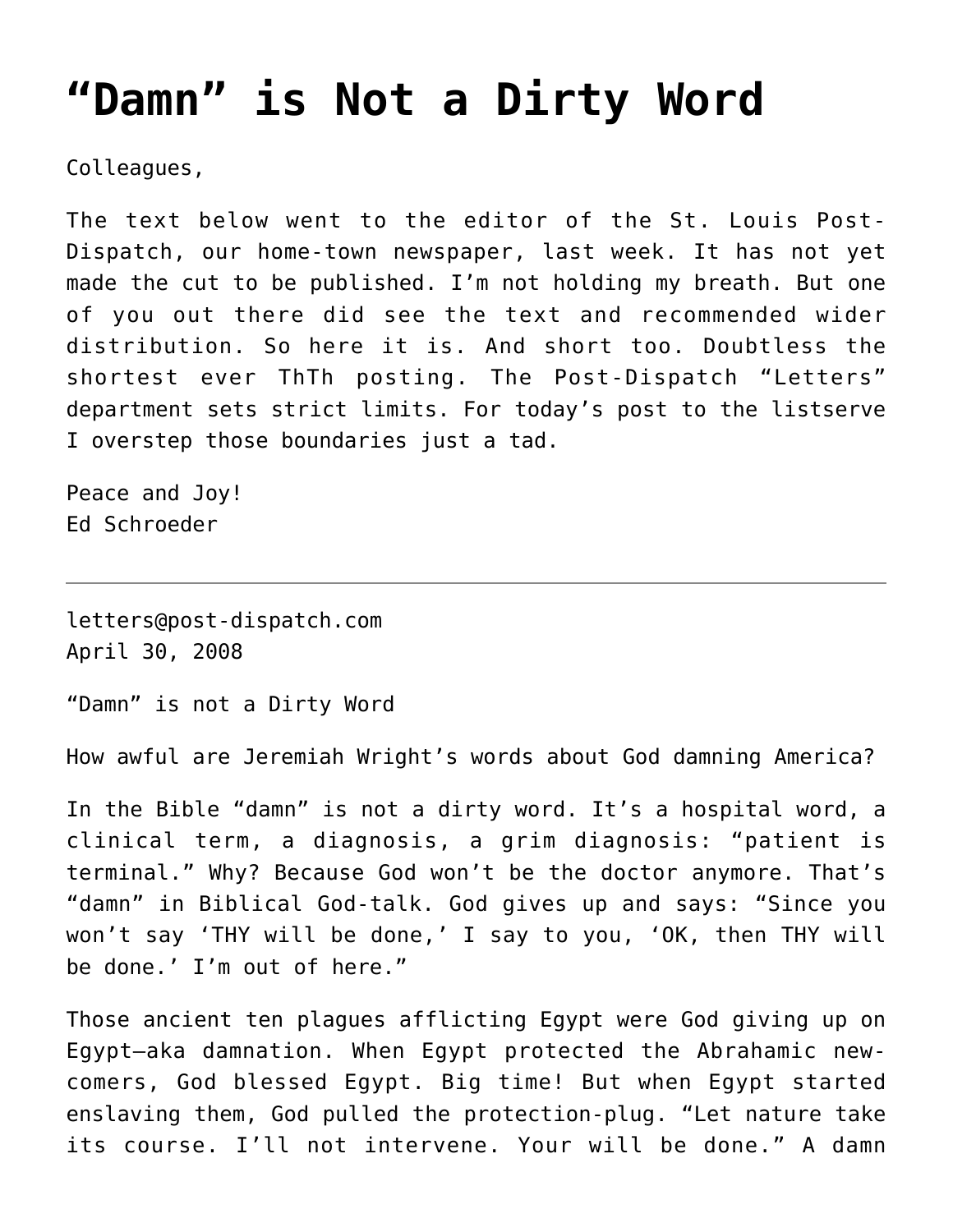## **["Damn" is Not a Dirty Word](https://crossings.org/damn-is-not-a-dirty-word/)**

Colleagues,

The text below went to the editor of the St. Louis Post-Dispatch, our home-town newspaper, last week. It has not yet made the cut to be published. I'm not holding my breath. But one of you out there did see the text and recommended wider distribution. So here it is. And short too. Doubtless the shortest ever ThTh posting. The Post-Dispatch "Letters" department sets strict limits. For today's post to the listserve I overstep those boundaries just a tad.

Peace and Joy! Ed Schroeder

letters@post-dispatch.com April 30, 2008

"Damn" is not a Dirty Word

How awful are Jeremiah Wright's words about God damning America?

In the Bible "damn" is not a dirty word. It's a hospital word, a clinical term, a diagnosis, a grim diagnosis: "patient is terminal." Why? Because God won't be the doctor anymore. That's "damn" in Biblical God-talk. God gives up and says: "Since you won't say 'THY will be done,' I say to you, 'OK, then THY will be done.' I'm out of here."

Those ancient ten plagues afflicting Egypt were God giving up on Egypt–aka damnation. When Egypt protected the Abrahamic newcomers, God blessed Egypt. Big time! But when Egypt started enslaving them, God pulled the protection-plug. "Let nature take its course. I'll not intervene. Your will be done." A damn